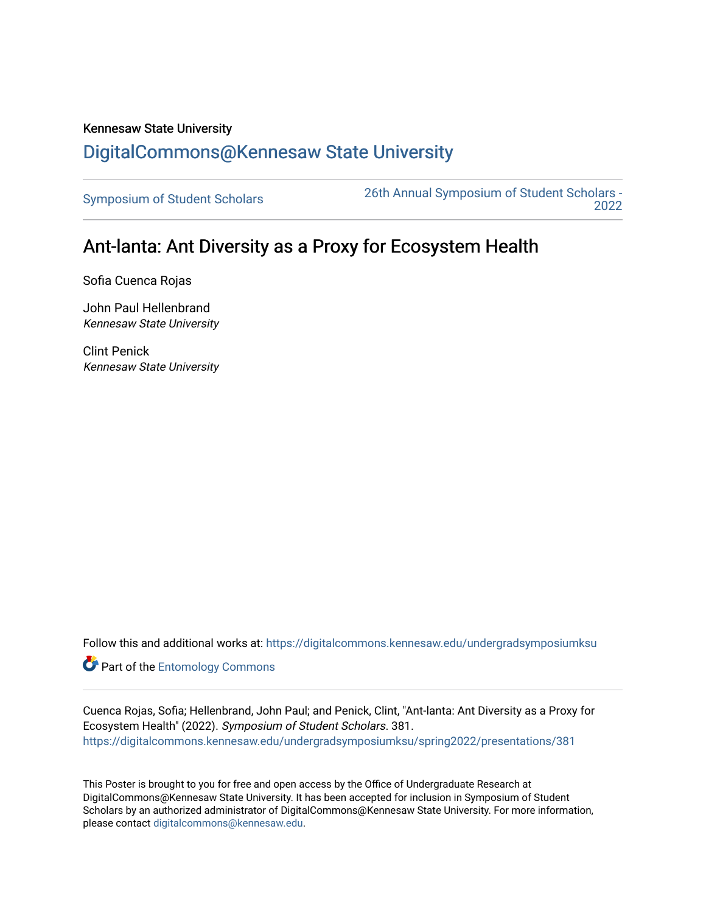## Kennesaw State University [DigitalCommons@Kennesaw State University](https://digitalcommons.kennesaw.edu/)

[Symposium of Student Scholars](https://digitalcommons.kennesaw.edu/undergradsymposiumksu) [26th Annual Symposium of Student Scholars -](https://digitalcommons.kennesaw.edu/undergradsymposiumksu/spring2022)  [2022](https://digitalcommons.kennesaw.edu/undergradsymposiumksu/spring2022) 

## Ant-lanta: Ant Diversity as a Proxy for Ecosystem Health

Sofia Cuenca Rojas

John Paul Hellenbrand Kennesaw State University

Clint Penick Kennesaw State University

Follow this and additional works at: [https://digitalcommons.kennesaw.edu/undergradsymposiumksu](https://digitalcommons.kennesaw.edu/undergradsymposiumksu?utm_source=digitalcommons.kennesaw.edu%2Fundergradsymposiumksu%2Fspring2022%2Fpresentations%2F381&utm_medium=PDF&utm_campaign=PDFCoverPages) 

**Part of the Entomology Commons** 

Cuenca Rojas, Sofia; Hellenbrand, John Paul; and Penick, Clint, "Ant-lanta: Ant Diversity as a Proxy for Ecosystem Health" (2022). Symposium of Student Scholars. 381. [https://digitalcommons.kennesaw.edu/undergradsymposiumksu/spring2022/presentations/381](https://digitalcommons.kennesaw.edu/undergradsymposiumksu/spring2022/presentations/381?utm_source=digitalcommons.kennesaw.edu%2Fundergradsymposiumksu%2Fspring2022%2Fpresentations%2F381&utm_medium=PDF&utm_campaign=PDFCoverPages)

This Poster is brought to you for free and open access by the Office of Undergraduate Research at DigitalCommons@Kennesaw State University. It has been accepted for inclusion in Symposium of Student Scholars by an authorized administrator of DigitalCommons@Kennesaw State University. For more information, please contact [digitalcommons@kennesaw.edu.](mailto:digitalcommons@kennesaw.edu)